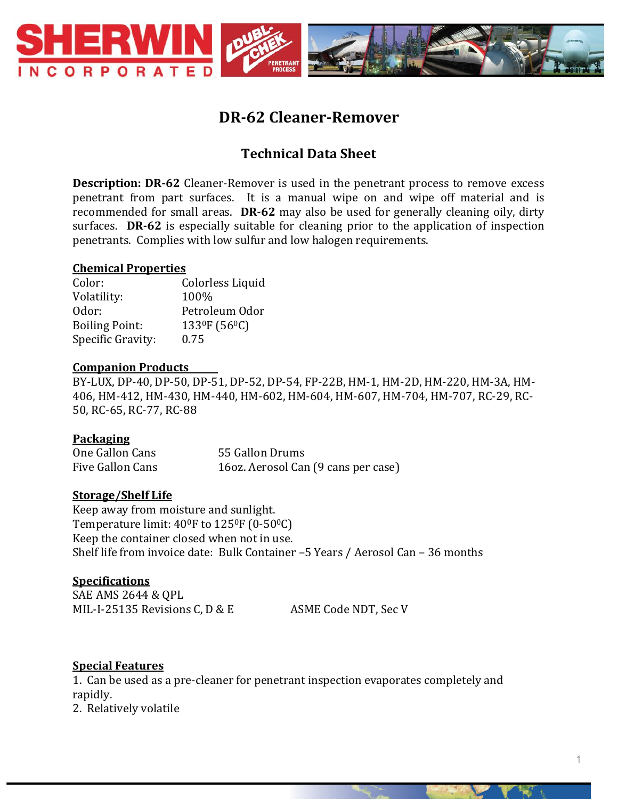

# **DR-62 Cleaner-Remover**

## **Technical Data Sheet**

**Description: DR-62** Cleaner-Remover is used in the penetrant process to remove excess penetrant from part surfaces. It is a manual wipe on and wipe off material and is recommended for small areas. **DR-62** may also be used for generally cleaning oily, dirty surfaces. **DR-62** is especially suitable for cleaning prior to the application of inspection penetrants. Complies with low sulfur and low halogen requirements.

#### **Chemical Properties**

Color: Colorless Liquid Volatility: 100% Odor: Petroleum Odor Boiling Point:  $133^\circ F (56^\circ C)$ Specific Gravity: 0.75

#### **Companion Products**

BY-LUX, DP-40, DP-50, DP-51, DP-52, DP-54, FP-22B, HM-1, HM-2D, HM-220, HM-3A, HM-406, HM-412, HM-430, HM-440, HM-602, HM-604, HM-607, HM-704, HM-707, RC-29, RC-50, RC-65, RC-77, RC-88

### **Packaging**

| One Gallon Cans  | 55 Gallon Drums                     |  |
|------------------|-------------------------------------|--|
| Five Gallon Cans | 160z. Aerosol Can (9 cans per case) |  |

### **Storage/Shelf Life**

Keep away from moisture and sunlight. Temperature limit:  $40^{\circ}$ F to  $125^{\circ}$ F (0-50 $^{\circ}$ C) Keep the container closed when not in use. Shelf life from invoice date: Bulk Container –5 Years / Aerosol Can – 36 months

#### **Specifications**

SAE AMS 2644 & QPL MIL-I-25135 Revisions C, D & E ASME Code NDT, Sec V

### **Special Features**

1. Can be used as a pre-cleaner for penetrant inspection evaporates completely and rapidly. 2. Relatively volatile